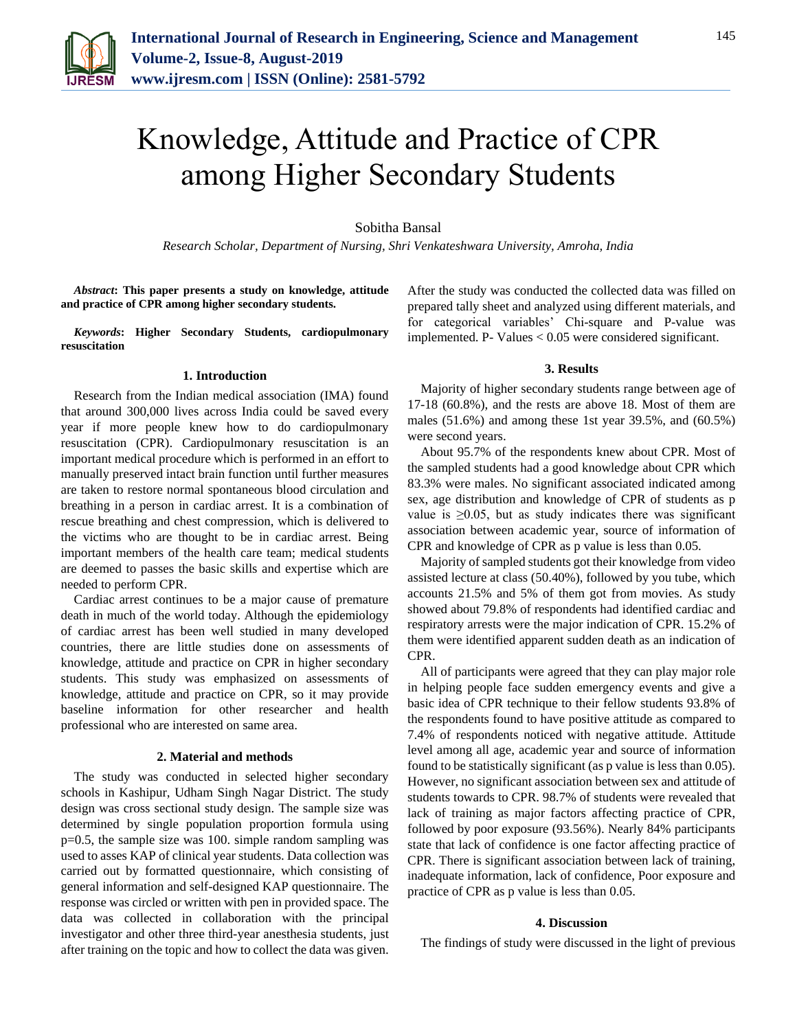

# Knowledge, Attitude and Practice of CPR among Higher Secondary Students

Sobitha Bansal

*Research Scholar, Department of Nursing, Shri Venkateshwara University, Amroha, India*

*Abstract***: This paper presents a study on knowledge, attitude and practice of CPR among higher secondary students.**

*Keywords***: Higher Secondary Students, cardiopulmonary resuscitation**

#### **1. Introduction**

Research from the Indian medical association (IMA) found that around 300,000 lives across India could be saved every year if more people knew how to do cardiopulmonary resuscitation (CPR). Cardiopulmonary resuscitation is an important medical procedure which is performed in an effort to manually preserved intact brain function until further measures are taken to restore normal spontaneous blood circulation and breathing in a person in cardiac arrest. It is a combination of rescue breathing and chest compression, which is delivered to the victims who are thought to be in cardiac arrest. Being important members of the health care team; medical students are deemed to passes the basic skills and expertise which are needed to perform CPR.

Cardiac arrest continues to be a major cause of premature death in much of the world today. Although the epidemiology of cardiac arrest has been well studied in many developed countries, there are little studies done on assessments of knowledge, attitude and practice on CPR in higher secondary students. This study was emphasized on assessments of knowledge, attitude and practice on CPR, so it may provide baseline information for other researcher and health professional who are interested on same area.

#### **2. Material and methods**

The study was conducted in selected higher secondary schools in Kashipur, Udham Singh Nagar District. The study design was cross sectional study design. The sample size was determined by single population proportion formula using p=0.5, the sample size was 100. simple random sampling was used to asses KAP of clinical year students. Data collection was carried out by formatted questionnaire, which consisting of general information and self-designed KAP questionnaire. The response was circled or written with pen in provided space. The data was collected in collaboration with the principal investigator and other three third-year anesthesia students, just after training on the topic and how to collect the data was given.

After the study was conducted the collected data was filled on prepared tally sheet and analyzed using different materials, and for categorical variables' Chi-square and P-value was implemented. P- Values < 0.05 were considered significant.

#### **3. Results**

Majority of higher secondary students range between age of 17-18 (60.8%), and the rests are above 18. Most of them are males (51.6%) and among these 1st year 39.5%, and (60.5%) were second years.

About 95.7% of the respondents knew about CPR. Most of the sampled students had a good knowledge about CPR which 83.3% were males. No significant associated indicated among sex, age distribution and knowledge of CPR of students as p value is  $\geq 0.05$ , but as study indicates there was significant association between academic year, source of information of CPR and knowledge of CPR as p value is less than 0.05.

Majority of sampled students got their knowledge from video assisted lecture at class (50.40%), followed by you tube, which accounts 21.5% and 5% of them got from movies. As study showed about 79.8% of respondents had identified cardiac and respiratory arrests were the major indication of CPR. 15.2% of them were identified apparent sudden death as an indication of CPR.

All of participants were agreed that they can play major role in helping people face sudden emergency events and give a basic idea of CPR technique to their fellow students 93.8% of the respondents found to have positive attitude as compared to 7.4% of respondents noticed with negative attitude. Attitude level among all age, academic year and source of information found to be statistically significant (as p value is less than 0.05). However, no significant association between sex and attitude of students towards to CPR. 98.7% of students were revealed that lack of training as major factors affecting practice of CPR, followed by poor exposure (93.56%). Nearly 84% participants state that lack of confidence is one factor affecting practice of CPR. There is significant association between lack of training, inadequate information, lack of confidence, Poor exposure and practice of CPR as p value is less than 0.05.

## **4. Discussion**

The findings of study were discussed in the light of previous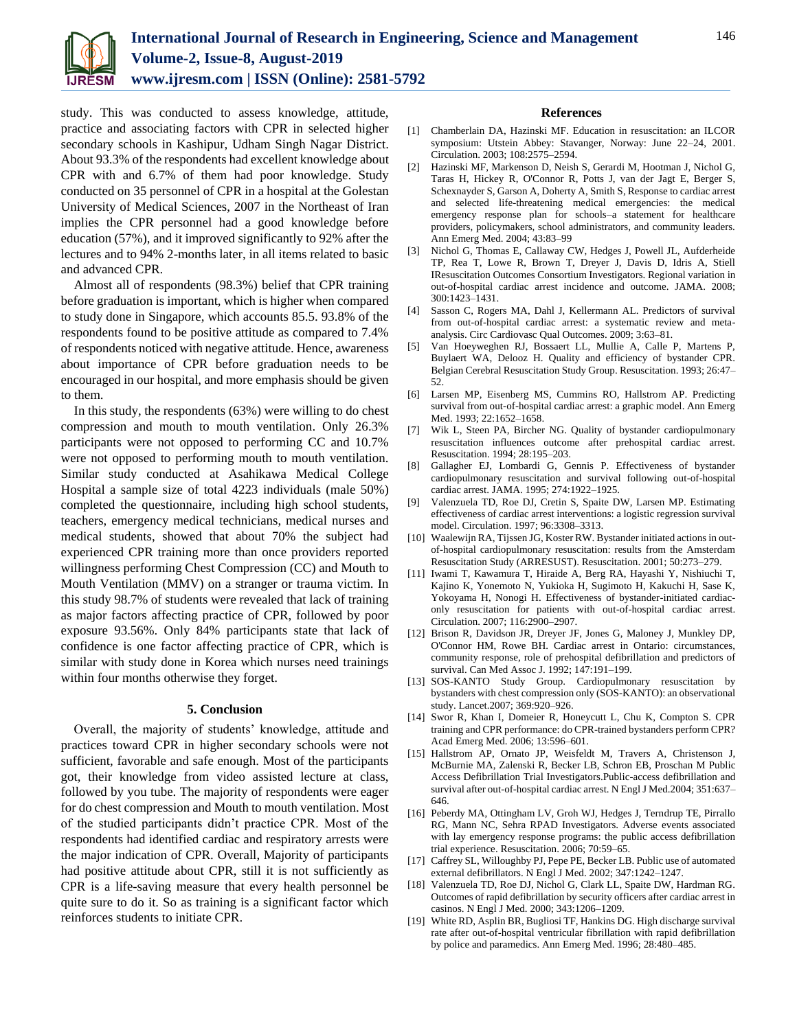

study. This was conducted to assess knowledge, attitude, practice and associating factors with CPR in selected higher secondary schools in Kashipur, Udham Singh Nagar District. About 93.3% of the respondents had excellent knowledge about CPR with and 6.7% of them had poor knowledge. Study conducted on 35 personnel of CPR in a hospital at the Golestan University of Medical Sciences, 2007 in the Northeast of Iran implies the CPR personnel had a good knowledge before education (57%), and it improved significantly to 92% after the lectures and to 94% 2-months later, in all items related to basic and advanced CPR.

Almost all of respondents (98.3%) belief that CPR training before graduation is important, which is higher when compared to study done in Singapore, which accounts 85.5. 93.8% of the respondents found to be positive attitude as compared to 7.4% of respondents noticed with negative attitude. Hence, awareness about importance of CPR before graduation needs to be encouraged in our hospital, and more emphasis should be given to them.

In this study, the respondents (63%) were willing to do chest compression and mouth to mouth ventilation. Only 26.3% participants were not opposed to performing CC and 10.7% were not opposed to performing mouth to mouth ventilation. Similar study conducted at Asahikawa Medical College Hospital a sample size of total 4223 individuals (male 50%) completed the questionnaire, including high school students, teachers, emergency medical technicians, medical nurses and medical students, showed that about 70% the subject had experienced CPR training more than once providers reported willingness performing Chest Compression (CC) and Mouth to Mouth Ventilation (MMV) on a stranger or trauma victim. In this study 98.7% of students were revealed that lack of training as major factors affecting practice of CPR, followed by poor exposure 93.56%. Only 84% participants state that lack of confidence is one factor affecting practice of CPR, which is similar with study done in Korea which nurses need trainings within four months otherwise they forget.

#### **5. Conclusion**

Overall, the majority of students' knowledge, attitude and practices toward CPR in higher secondary schools were not sufficient, favorable and safe enough. Most of the participants got, their knowledge from video assisted lecture at class, followed by you tube. The majority of respondents were eager for do chest compression and Mouth to mouth ventilation. Most of the studied participants didn't practice CPR. Most of the respondents had identified cardiac and respiratory arrests were the major indication of CPR. Overall, Majority of participants had positive attitude about CPR, still it is not sufficiently as CPR is a life-saving measure that every health personnel be quite sure to do it. So as training is a significant factor which reinforces students to initiate CPR.

### **References**

- [1] Chamberlain DA, Hazinski MF. Education in resuscitation: an ILCOR symposium: Utstein Abbey: Stavanger, Norway: June 22–24, 2001. Circulation. 2003; 108:2575–2594.
- [2] Hazinski MF, Markenson D, Neish S, Gerardi M, Hootman J, Nichol G, Taras H, Hickey R, O'Connor R, Potts J, van der Jagt E, Berger S, Schexnayder S, Garson A, Doherty A, Smith S, Response to cardiac arrest and selected life-threatening medical emergencies: the medical emergency response plan for schools–a statement for healthcare providers, policymakers, school administrators, and community leaders. Ann Emerg Med. 2004; 43:83–99
- [3] Nichol G, Thomas E, Callaway CW, Hedges J, Powell JL, Aufderheide TP, Rea T, Lowe R, Brown T, Dreyer J, Davis D, Idris A, Stiell IResuscitation Outcomes Consortium Investigators. Regional variation in out-of-hospital cardiac arrest incidence and outcome. JAMA. 2008; 300:1423–1431.
- [4] Sasson C, Rogers MA, Dahl J, Kellermann AL. Predictors of survival from out-of-hospital cardiac arrest: a systematic review and metaanalysis. Circ Cardiovasc Qual Outcomes. 2009; 3:63–81.
- [5] Van Hoeyweghen RJ, Bossaert LL, Mullie A, Calle P, Martens P, Buylaert WA, Delooz H. Quality and efficiency of bystander CPR. Belgian Cerebral Resuscitation Study Group. Resuscitation. 1993; 26:47– 52.
- [6] Larsen MP, Eisenberg MS, Cummins RO, Hallstrom AP. Predicting survival from out-of-hospital cardiac arrest: a graphic model. Ann Emerg Med. 1993; 22:1652–1658.
- [7] Wik L, Steen PA, Bircher NG. Quality of bystander cardiopulmonary resuscitation influences outcome after prehospital cardiac arrest. Resuscitation. 1994; 28:195–203.
- [8] Gallagher EJ, Lombardi G, Gennis P. Effectiveness of bystander cardiopulmonary resuscitation and survival following out-of-hospital cardiac arrest. JAMA. 1995; 274:1922–1925.
- [9] Valenzuela TD, Roe DJ, Cretin S, Spaite DW, Larsen MP. Estimating effectiveness of cardiac arrest interventions: a logistic regression survival model. Circulation. 1997; 96:3308–3313.
- [10] Waalewijn RA, Tijssen JG, Koster RW. Bystander initiated actions in outof-hospital cardiopulmonary resuscitation: results from the Amsterdam Resuscitation Study (ARRESUST). Resuscitation. 2001; 50:273–279.
- [11] Iwami T, Kawamura T, Hiraide A, Berg RA, Hayashi Y, Nishiuchi T, Kajino K, Yonemoto N, Yukioka H, Sugimoto H, Kakuchi H, Sase K, Yokoyama H, Nonogi H. Effectiveness of bystander-initiated cardiaconly resuscitation for patients with out-of-hospital cardiac arrest. Circulation. 2007; 116:2900–2907.
- [12] Brison R, Davidson JR, Dreyer JF, Jones G, Maloney J, Munkley DP, O'Connor HM, Rowe BH. Cardiac arrest in Ontario: circumstances, community response, role of prehospital defibrillation and predictors of survival. Can Med Assoc J. 1992; 147:191–199.
- [13] SOS-KANTO Study Group. Cardiopulmonary resuscitation by bystanders with chest compression only (SOS-KANTO): an observational study. Lancet.2007; 369:920–926.
- [14] Swor R, Khan I, Domeier R, Honeycutt L, Chu K, Compton S. CPR training and CPR performance: do CPR-trained bystanders perform CPR? Acad Emerg Med. 2006; 13:596–601.
- [15] Hallstrom AP, Ornato JP, Weisfeldt M, Travers A, Christenson J, McBurnie MA, Zalenski R, Becker LB, Schron EB, Proschan M Public Access Defibrillation Trial Investigators.Public-access defibrillation and survival after out-of-hospital cardiac arrest. N Engl J Med.2004; 351:637– 646.
- [16] Peberdy MA, Ottingham LV, Groh WJ, Hedges J, Terndrup TE, Pirrallo RG, Mann NC, Sehra RPAD Investigators. Adverse events associated with lay emergency response programs: the public access defibrillation trial experience. Resuscitation. 2006; 70:59–65.
- [17] Caffrey SL, Willoughby PJ, Pepe PE, Becker LB. Public use of automated external defibrillators. N Engl J Med. 2002; 347:1242–1247.
- [18] Valenzuela TD, Roe DJ, Nichol G, Clark LL, Spaite DW, Hardman RG. Outcomes of rapid defibrillation by security officers after cardiac arrest in casinos. N Engl J Med. 2000; 343:1206–1209.
- [19] White RD, Asplin BR, Bugliosi TF, Hankins DG. High discharge survival rate after out-of-hospital ventricular fibrillation with rapid defibrillation by police and paramedics. Ann Emerg Med. 1996; 28:480–485.